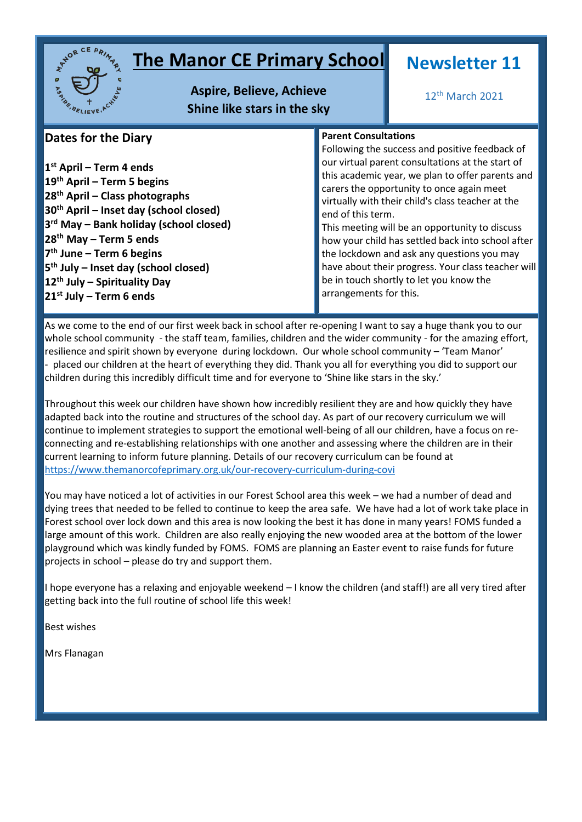

# **The Manor CE Primary School**

**Aspire, Believe, Achieve Shine like stars in the sky**

# **Newsletter 11**

12th March 2021

# **Dates for the Diary**

 **st April – Term 4 ends th April – Term 5 begins th April – Class photographs th April – Inset day (school closed) rd May – Bank holiday (school closed) th May – Term 5 ends th June – Term 6 begins th July – Inset day (school closed) th July – Spirituality Day st July – Term 6 ends**

# **Parent Consultations**

Following the success and positive feedback of our virtual parent consultations at the start of this academic year, we plan to offer parents and carers the opportunity to once again meet virtually with their child's class teacher at the end of this term.

This meeting will be an opportunity to discuss how your child has settled back into school after the lockdown and ask any questions you may have about their progress. Your class teacher will be in touch shortly to let you know the arrangements for this.

As we come to the end of our first week back in school after re-opening I want to say a huge thank you to our whole school community - the staff team, families, children and the wider community - for the amazing effort, resilience and spirit shown by everyone during lockdown. Our whole school community – 'Team Manor' - placed our children at the heart of everything they did. Thank you all for everything you did to support our children during this incredibly difficult time and for everyone to 'Shine like stars in the sky.'

Throughout this week our children have shown how incredibly resilient they are and how quickly they have adapted back into the routine and structures of the school day. As part of our recovery curriculum we will continue to implement strategies to support the emotional well-being of all our children, have a focus on reconnecting and re-establishing relationships with one another and assessing where the children are in their current learning to inform future planning. Details of our recovery curriculum can be found at <https://www.themanorcofeprimary.org.uk/our-recovery-curriculum-during-covi>

You may have noticed a lot of activities in our Forest School area this week – we had a number of dead and dying trees that needed to be felled to continue to keep the area safe. We have had a lot of work take place in Forest school over lock down and this area is now looking the best it has done in many years! FOMS funded a large amount of this work. Children are also really enjoying the new wooded area at the bottom of the lower playground which was kindly funded by FOMS. FOMS are planning an Easter event to raise funds for future projects in school – please do try and support them.

I hope everyone has a relaxing and enjoyable weekend – I know the children (and staff!) are all very tired after getting back into the full routine of school life this week!

Best wishes

Mrs Flanagan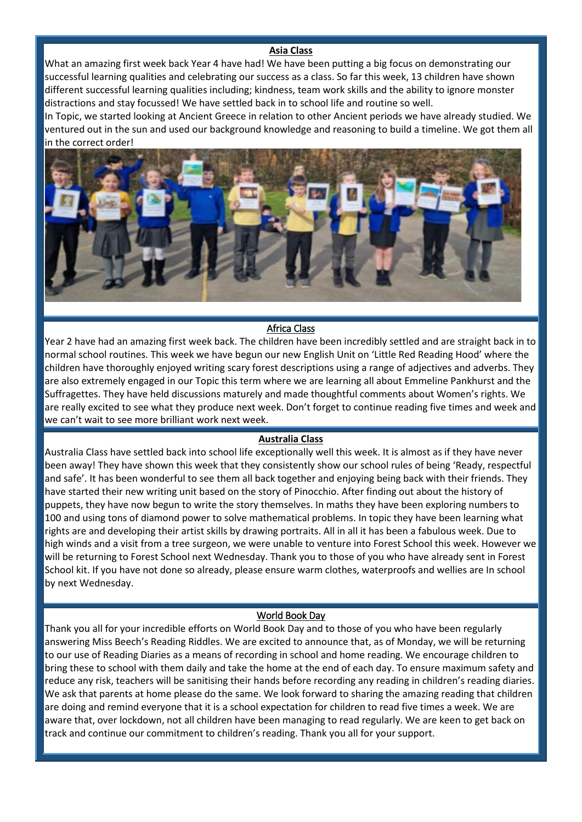## **Asia Class**

What an amazing first week back Year 4 have had! We have been putting a big focus on demonstrating our successful learning qualities and celebrating our success as a class. So far this week, 13 children have shown different successful learning qualities including; kindness, team work skills and the ability to ignore monster distractions and stay focussed! We have settled back in to school life and routine so well.

In Topic, we started looking at Ancient Greece in relation to other Ancient periods we have already studied. We ventured out in the sun and used our background knowledge and reasoning to build a timeline. We got them all in the correct order!



#### Africa Class

Year 2 have had an amazing first week back. The children have been incredibly settled and are straight back in to normal school routines. This week we have begun our new English Unit on 'Little Red Reading Hood' where the children have thoroughly enjoyed writing scary forest descriptions using a range of adjectives and adverbs. They are also extremely engaged in our Topic this term where we are learning all about Emmeline Pankhurst and the Suffragettes. They have held discussions maturely and made thoughtful comments about Women's rights. We are really excited to see what they produce next week. Don't forget to continue reading five times and week and we can't wait to see more brilliant work next week.

#### **Australia Class**

Australia Class have settled back into school life exceptionally well this week. It is almost as if they have never been away! They have shown this week that they consistently show our school rules of being 'Ready, respectful and safe'. It has been wonderful to see them all back together and enjoying being back with their friends. They have started their new writing unit based on the story of Pinocchio. After finding out about the history of puppets, they have now begun to write the story themselves. In maths they have been exploring numbers to 100 and using tons of diamond power to solve mathematical problems. In topic they have been learning what rights are and developing their artist skills by drawing portraits. All in all it has been a fabulous week. Due to high winds and a visit from a tree surgeon, we were unable to venture into Forest School this week. However we will be returning to Forest School next Wednesday. Thank you to those of you who have already sent in Forest School kit. If you have not done so already, please ensure warm clothes, waterproofs and wellies are In school by next Wednesday.

#### World Book Day

Thank you all for your incredible efforts on World Book Day and to those of you who have been regularly answering Miss Beech's Reading Riddles. We are excited to announce that, as of Monday, we will be returning to our use of Reading Diaries as a means of recording in school and home reading. We encourage children to bring these to school with them daily and take the home at the end of each day. To ensure maximum safety and reduce any risk, teachers will be sanitising their hands before recording any reading in children's reading diaries. We ask that parents at home please do the same. We look forward to sharing the amazing reading that children are doing and remind everyone that it is a school expectation for children to read five times a week. We are aware that, over lockdown, not all children have been managing to read regularly. We are keen to get back on track and continue our commitment to children's reading. Thank you all for your support.